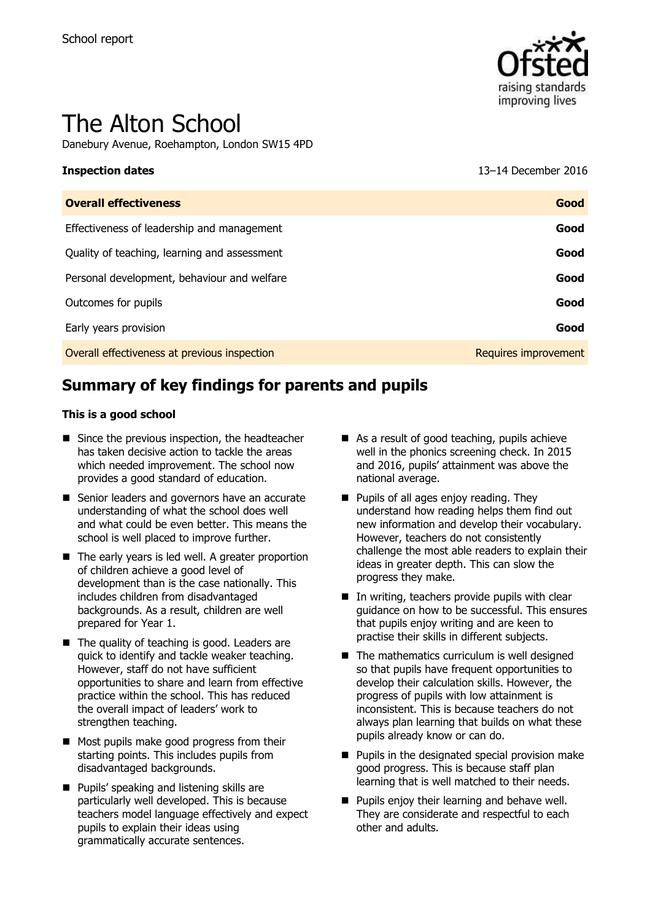

# The Alton School

Danebury Avenue, Roehampton, London SW15 4PD

**Inspection dates** 13–14 December 2016

| <b>Overall effectiveness</b>                 | Good                 |
|----------------------------------------------|----------------------|
| Effectiveness of leadership and management   | Good                 |
| Quality of teaching, learning and assessment | Good                 |
| Personal development, behaviour and welfare  | Good                 |
| Outcomes for pupils                          | Good                 |
| Early years provision                        | Good                 |
| Overall effectiveness at previous inspection | Requires improvement |

# **Summary of key findings for parents and pupils**

#### **This is a good school**

- Since the previous inspection, the headteacher has taken decisive action to tackle the areas which needed improvement. The school now provides a good standard of education.
- Senior leaders and governors have an accurate understanding of what the school does well and what could be even better. This means the school is well placed to improve further.
- The early years is led well. A greater proportion of children achieve a good level of development than is the case nationally. This includes children from disadvantaged backgrounds. As a result, children are well prepared for Year 1.
- The quality of teaching is good. Leaders are quick to identify and tackle weaker teaching. However, staff do not have sufficient opportunities to share and learn from effective practice within the school. This has reduced the overall impact of leaders' work to strengthen teaching.
- Most pupils make good progress from their starting points. This includes pupils from disadvantaged backgrounds.
- **Pupils' speaking and listening skills are** particularly well developed. This is because teachers model language effectively and expect pupils to explain their ideas using grammatically accurate sentences.
- As a result of good teaching, pupils achieve well in the phonics screening check. In 2015 and 2016, pupils' attainment was above the national average.
- **Pupils of all ages enjoy reading. They** understand how reading helps them find out new information and develop their vocabulary. However, teachers do not consistently challenge the most able readers to explain their ideas in greater depth. This can slow the progress they make.
- In writing, teachers provide pupils with clear guidance on how to be successful. This ensures that pupils enjoy writing and are keen to practise their skills in different subjects.
- $\blacksquare$  The mathematics curriculum is well designed so that pupils have frequent opportunities to develop their calculation skills. However, the progress of pupils with low attainment is inconsistent. This is because teachers do not always plan learning that builds on what these pupils already know or can do.
- $\blacksquare$  Pupils in the designated special provision make good progress. This is because staff plan learning that is well matched to their needs.
- **Pupils enjoy their learning and behave well.** They are considerate and respectful to each other and adults.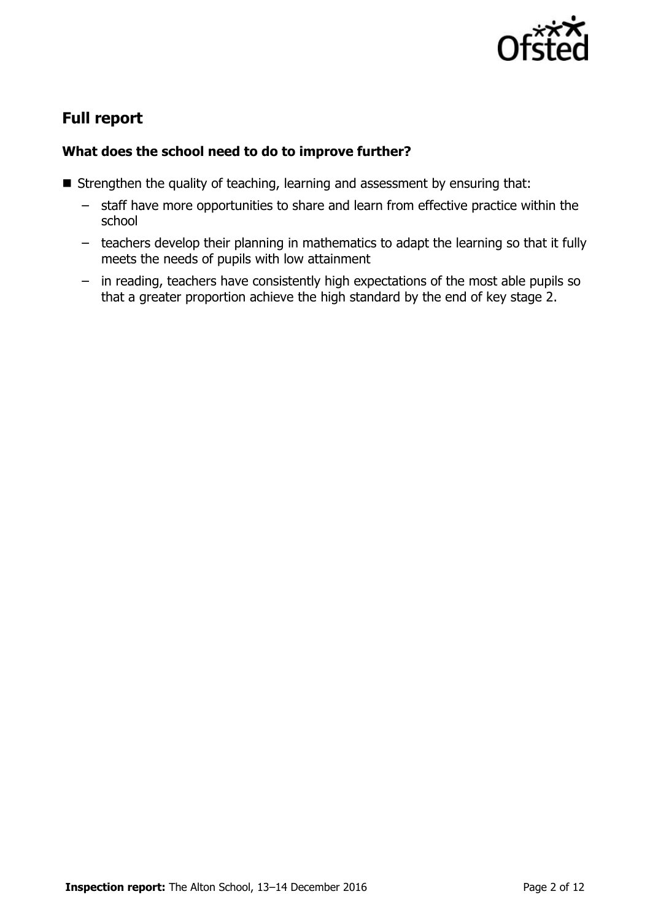

# **Full report**

### **What does the school need to do to improve further?**

- Strengthen the quality of teaching, learning and assessment by ensuring that:
	- staff have more opportunities to share and learn from effective practice within the school
	- teachers develop their planning in mathematics to adapt the learning so that it fully meets the needs of pupils with low attainment
	- in reading, teachers have consistently high expectations of the most able pupils so that a greater proportion achieve the high standard by the end of key stage 2.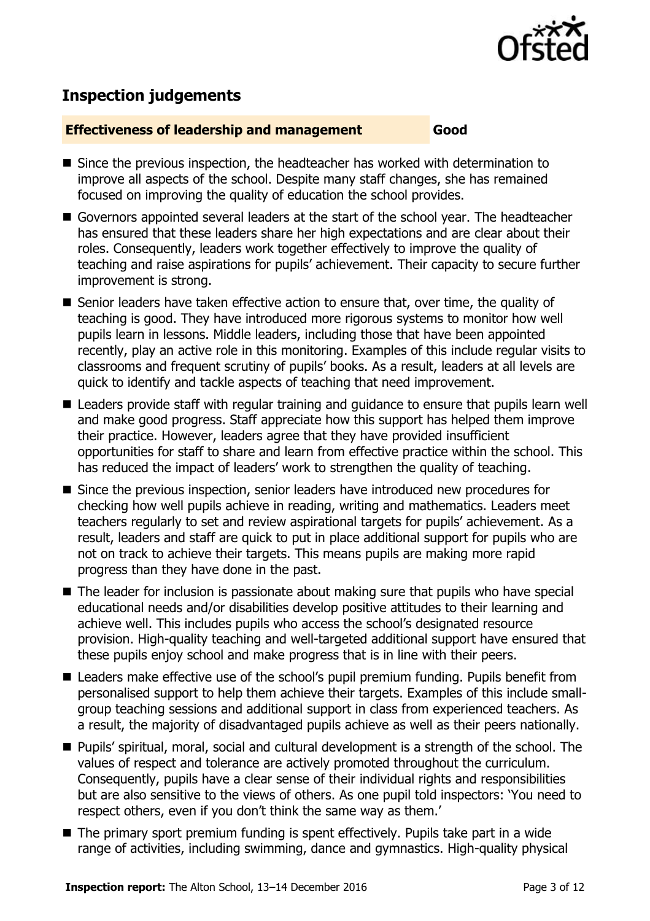

# **Inspection judgements**

#### **Effectiveness of leadership and management Good**

- Since the previous inspection, the headteacher has worked with determination to improve all aspects of the school. Despite many staff changes, she has remained focused on improving the quality of education the school provides.
- Governors appointed several leaders at the start of the school year. The headteacher has ensured that these leaders share her high expectations and are clear about their roles. Consequently, leaders work together effectively to improve the quality of teaching and raise aspirations for pupils' achievement. Their capacity to secure further improvement is strong.
- Senior leaders have taken effective action to ensure that, over time, the quality of teaching is good. They have introduced more rigorous systems to monitor how well pupils learn in lessons. Middle leaders, including those that have been appointed recently, play an active role in this monitoring. Examples of this include regular visits to classrooms and frequent scrutiny of pupils' books. As a result, leaders at all levels are quick to identify and tackle aspects of teaching that need improvement.
- Leaders provide staff with regular training and guidance to ensure that pupils learn well and make good progress. Staff appreciate how this support has helped them improve their practice. However, leaders agree that they have provided insufficient opportunities for staff to share and learn from effective practice within the school. This has reduced the impact of leaders' work to strengthen the quality of teaching.
- Since the previous inspection, senior leaders have introduced new procedures for checking how well pupils achieve in reading, writing and mathematics. Leaders meet teachers regularly to set and review aspirational targets for pupils' achievement. As a result, leaders and staff are quick to put in place additional support for pupils who are not on track to achieve their targets. This means pupils are making more rapid progress than they have done in the past.
- The leader for inclusion is passionate about making sure that pupils who have special educational needs and/or disabilities develop positive attitudes to their learning and achieve well. This includes pupils who access the school's designated resource provision. High-quality teaching and well-targeted additional support have ensured that these pupils enjoy school and make progress that is in line with their peers.
- Leaders make effective use of the school's pupil premium funding. Pupils benefit from personalised support to help them achieve their targets. Examples of this include smallgroup teaching sessions and additional support in class from experienced teachers. As a result, the majority of disadvantaged pupils achieve as well as their peers nationally.
- Pupils' spiritual, moral, social and cultural development is a strength of the school. The values of respect and tolerance are actively promoted throughout the curriculum. Consequently, pupils have a clear sense of their individual rights and responsibilities but are also sensitive to the views of others. As one pupil told inspectors: 'You need to respect others, even if you don't think the same way as them.'
- The primary sport premium funding is spent effectively. Pupils take part in a wide range of activities, including swimming, dance and gymnastics. High-quality physical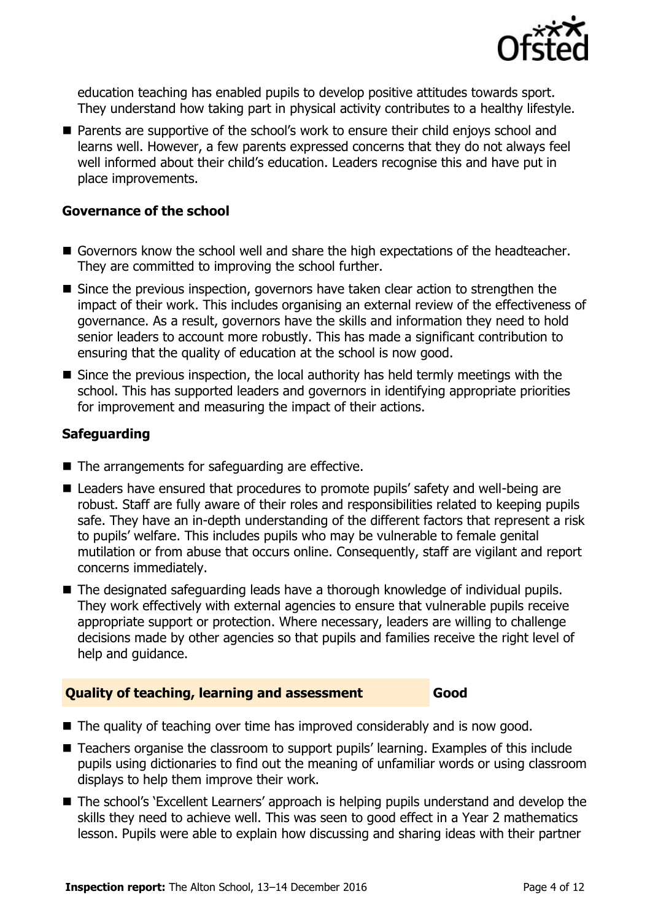

education teaching has enabled pupils to develop positive attitudes towards sport. They understand how taking part in physical activity contributes to a healthy lifestyle.

■ Parents are supportive of the school's work to ensure their child enjoys school and learns well. However, a few parents expressed concerns that they do not always feel well informed about their child's education. Leaders recognise this and have put in place improvements.

#### **Governance of the school**

- Governors know the school well and share the high expectations of the headteacher. They are committed to improving the school further.
- Since the previous inspection, governors have taken clear action to strengthen the impact of their work. This includes organising an external review of the effectiveness of governance. As a result, governors have the skills and information they need to hold senior leaders to account more robustly. This has made a significant contribution to ensuring that the quality of education at the school is now good.
- Since the previous inspection, the local authority has held termly meetings with the school. This has supported leaders and governors in identifying appropriate priorities for improvement and measuring the impact of their actions.

#### **Safeguarding**

- The arrangements for safeguarding are effective.
- Leaders have ensured that procedures to promote pupils' safety and well-being are robust. Staff are fully aware of their roles and responsibilities related to keeping pupils safe. They have an in-depth understanding of the different factors that represent a risk to pupils' welfare. This includes pupils who may be vulnerable to female genital mutilation or from abuse that occurs online. Consequently, staff are vigilant and report concerns immediately.
- The designated safeguarding leads have a thorough knowledge of individual pupils. They work effectively with external agencies to ensure that vulnerable pupils receive appropriate support or protection. Where necessary, leaders are willing to challenge decisions made by other agencies so that pupils and families receive the right level of help and guidance.

#### **Quality of teaching, learning and assessment Good**

- The quality of teaching over time has improved considerably and is now good.
- Teachers organise the classroom to support pupils' learning. Examples of this include pupils using dictionaries to find out the meaning of unfamiliar words or using classroom displays to help them improve their work.
- The school's 'Excellent Learners' approach is helping pupils understand and develop the skills they need to achieve well. This was seen to good effect in a Year 2 mathematics lesson. Pupils were able to explain how discussing and sharing ideas with their partner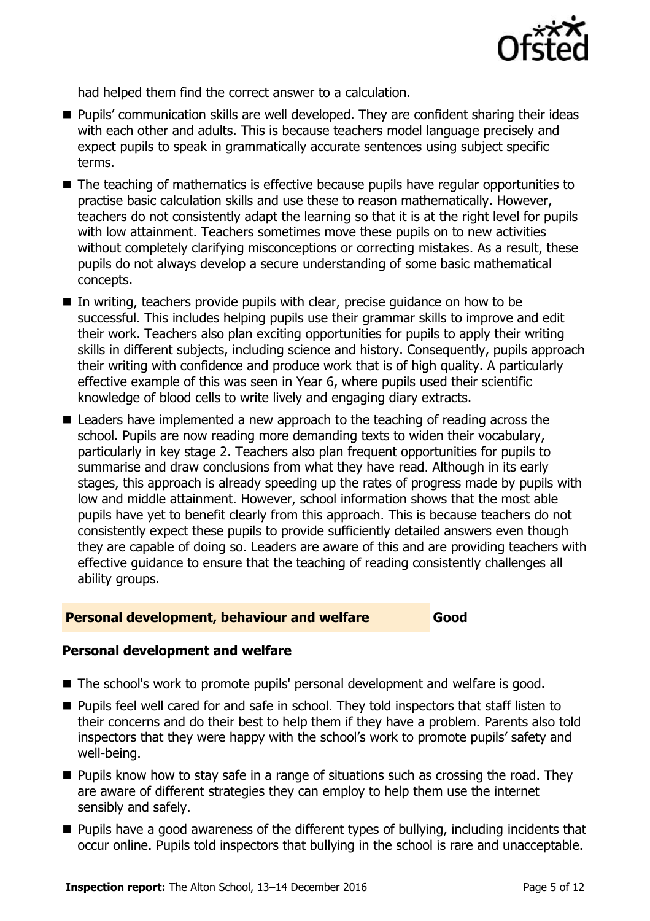

had helped them find the correct answer to a calculation.

- **Pupils' communication skills are well developed. They are confident sharing their ideas** with each other and adults. This is because teachers model language precisely and expect pupils to speak in grammatically accurate sentences using subject specific terms.
- The teaching of mathematics is effective because pupils have regular opportunities to practise basic calculation skills and use these to reason mathematically. However, teachers do not consistently adapt the learning so that it is at the right level for pupils with low attainment. Teachers sometimes move these pupils on to new activities without completely clarifying misconceptions or correcting mistakes. As a result, these pupils do not always develop a secure understanding of some basic mathematical concepts.
- In writing, teachers provide pupils with clear, precise quidance on how to be successful. This includes helping pupils use their grammar skills to improve and edit their work. Teachers also plan exciting opportunities for pupils to apply their writing skills in different subjects, including science and history. Consequently, pupils approach their writing with confidence and produce work that is of high quality. A particularly effective example of this was seen in Year 6, where pupils used their scientific knowledge of blood cells to write lively and engaging diary extracts.
- Leaders have implemented a new approach to the teaching of reading across the school. Pupils are now reading more demanding texts to widen their vocabulary, particularly in key stage 2. Teachers also plan frequent opportunities for pupils to summarise and draw conclusions from what they have read. Although in its early stages, this approach is already speeding up the rates of progress made by pupils with low and middle attainment. However, school information shows that the most able pupils have yet to benefit clearly from this approach. This is because teachers do not consistently expect these pupils to provide sufficiently detailed answers even though they are capable of doing so. Leaders are aware of this and are providing teachers with effective guidance to ensure that the teaching of reading consistently challenges all ability groups.

#### **Personal development, behaviour and welfare Good**

### **Personal development and welfare**

- The school's work to promote pupils' personal development and welfare is good.
- **Pupils feel well cared for and safe in school. They told inspectors that staff listen to** their concerns and do their best to help them if they have a problem. Parents also told inspectors that they were happy with the school's work to promote pupils' safety and well-being.
- **Pupils know how to stay safe in a range of situations such as crossing the road. They** are aware of different strategies they can employ to help them use the internet sensibly and safely.
- **Pupils have a good awareness of the different types of bullying, including incidents that** occur online. Pupils told inspectors that bullying in the school is rare and unacceptable.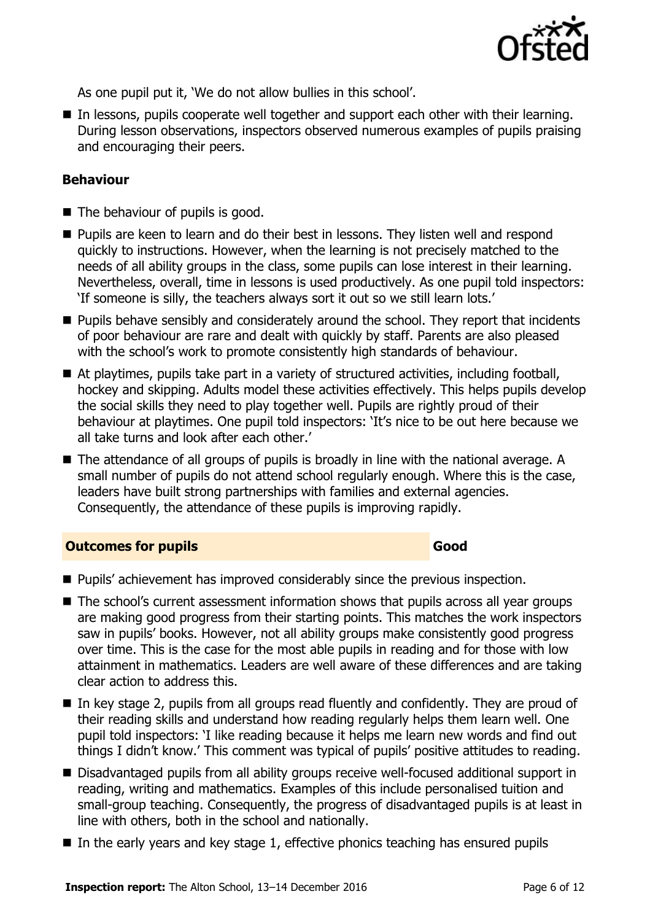

As one pupil put it, 'We do not allow bullies in this school'.

In lessons, pupils cooperate well together and support each other with their learning. During lesson observations, inspectors observed numerous examples of pupils praising and encouraging their peers.

### **Behaviour**

- $\blacksquare$  The behaviour of pupils is good.
- **Pupils are keen to learn and do their best in lessons. They listen well and respond** quickly to instructions. However, when the learning is not precisely matched to the needs of all ability groups in the class, some pupils can lose interest in their learning. Nevertheless, overall, time in lessons is used productively. As one pupil told inspectors: 'If someone is silly, the teachers always sort it out so we still learn lots.'
- **Pupils behave sensibly and considerately around the school. They report that incidents** of poor behaviour are rare and dealt with quickly by staff. Parents are also pleased with the school's work to promote consistently high standards of behaviour.
- At playtimes, pupils take part in a variety of structured activities, including football, hockey and skipping. Adults model these activities effectively. This helps pupils develop the social skills they need to play together well. Pupils are rightly proud of their behaviour at playtimes. One pupil told inspectors: 'It's nice to be out here because we all take turns and look after each other.'
- The attendance of all groups of pupils is broadly in line with the national average. A small number of pupils do not attend school regularly enough. Where this is the case, leaders have built strong partnerships with families and external agencies. Consequently, the attendance of these pupils is improving rapidly.

#### **Outcomes for pupils Good**

- **Pupils'** achievement has improved considerably since the previous inspection.
- The school's current assessment information shows that pupils across all year groups are making good progress from their starting points. This matches the work inspectors saw in pupils' books. However, not all ability groups make consistently good progress over time. This is the case for the most able pupils in reading and for those with low attainment in mathematics. Leaders are well aware of these differences and are taking clear action to address this.
- In key stage 2, pupils from all groups read fluently and confidently. They are proud of their reading skills and understand how reading regularly helps them learn well. One pupil told inspectors: 'I like reading because it helps me learn new words and find out things I didn't know.' This comment was typical of pupils' positive attitudes to reading.
- Disadvantaged pupils from all ability groups receive well-focused additional support in reading, writing and mathematics. Examples of this include personalised tuition and small-group teaching. Consequently, the progress of disadvantaged pupils is at least in line with others, both in the school and nationally.
- $\blacksquare$  In the early years and key stage 1, effective phonics teaching has ensured pupils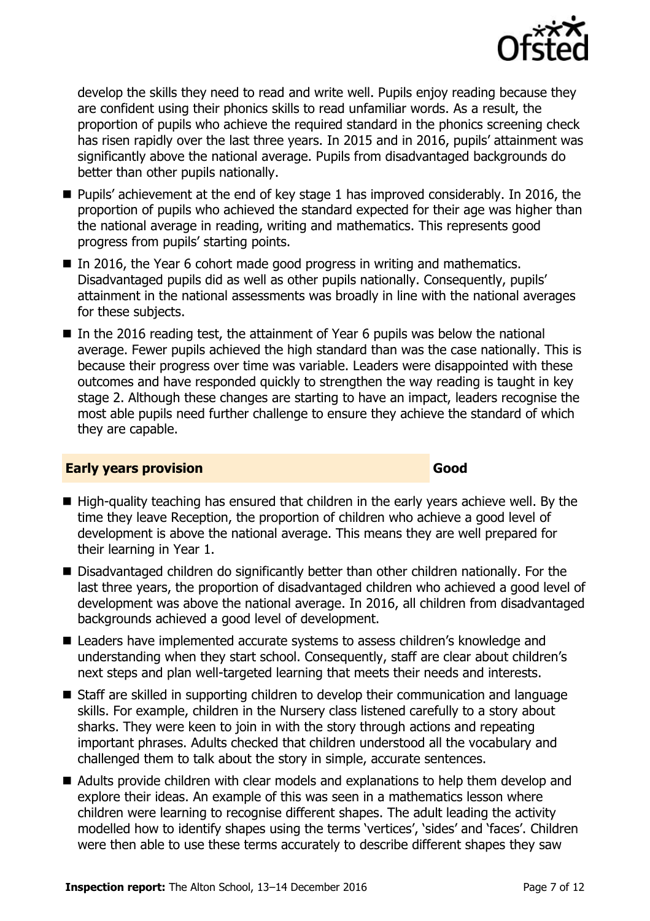

develop the skills they need to read and write well. Pupils enjoy reading because they are confident using their phonics skills to read unfamiliar words. As a result, the proportion of pupils who achieve the required standard in the phonics screening check has risen rapidly over the last three years. In 2015 and in 2016, pupils' attainment was significantly above the national average. Pupils from disadvantaged backgrounds do better than other pupils nationally.

- Pupils' achievement at the end of key stage 1 has improved considerably. In 2016, the proportion of pupils who achieved the standard expected for their age was higher than the national average in reading, writing and mathematics. This represents good progress from pupils' starting points.
- In 2016, the Year 6 cohort made good progress in writing and mathematics. Disadvantaged pupils did as well as other pupils nationally. Consequently, pupils' attainment in the national assessments was broadly in line with the national averages for these subjects.
- $\blacksquare$  In the 2016 reading test, the attainment of Year 6 pupils was below the national average. Fewer pupils achieved the high standard than was the case nationally. This is because their progress over time was variable. Leaders were disappointed with these outcomes and have responded quickly to strengthen the way reading is taught in key stage 2. Although these changes are starting to have an impact, leaders recognise the most able pupils need further challenge to ensure they achieve the standard of which they are capable.

#### **Early years provision Good Good**

- High-quality teaching has ensured that children in the early years achieve well. By the time they leave Reception, the proportion of children who achieve a good level of development is above the national average. This means they are well prepared for their learning in Year 1.
- Disadvantaged children do significantly better than other children nationally. For the last three years, the proportion of disadvantaged children who achieved a good level of development was above the national average. In 2016, all children from disadvantaged backgrounds achieved a good level of development.
- Leaders have implemented accurate systems to assess children's knowledge and understanding when they start school. Consequently, staff are clear about children's next steps and plan well-targeted learning that meets their needs and interests.
- Staff are skilled in supporting children to develop their communication and language skills. For example, children in the Nursery class listened carefully to a story about sharks. They were keen to join in with the story through actions and repeating important phrases. Adults checked that children understood all the vocabulary and challenged them to talk about the story in simple, accurate sentences.
- Adults provide children with clear models and explanations to help them develop and explore their ideas. An example of this was seen in a mathematics lesson where children were learning to recognise different shapes. The adult leading the activity modelled how to identify shapes using the terms 'vertices', 'sides' and 'faces'. Children were then able to use these terms accurately to describe different shapes they saw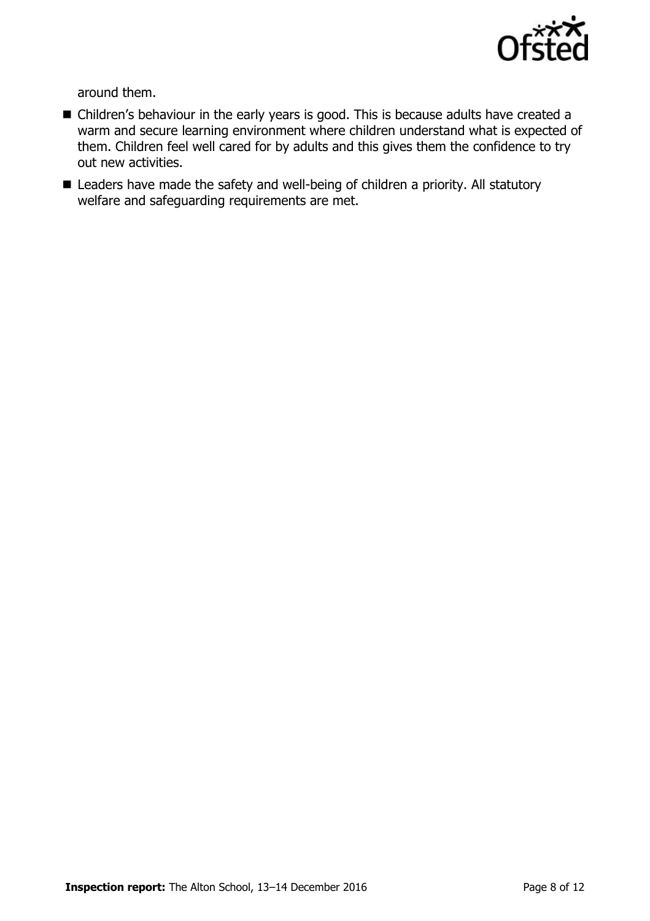

around them.

- Children's behaviour in the early years is good. This is because adults have created a warm and secure learning environment where children understand what is expected of them. Children feel well cared for by adults and this gives them the confidence to try out new activities.
- Leaders have made the safety and well-being of children a priority. All statutory welfare and safeguarding requirements are met.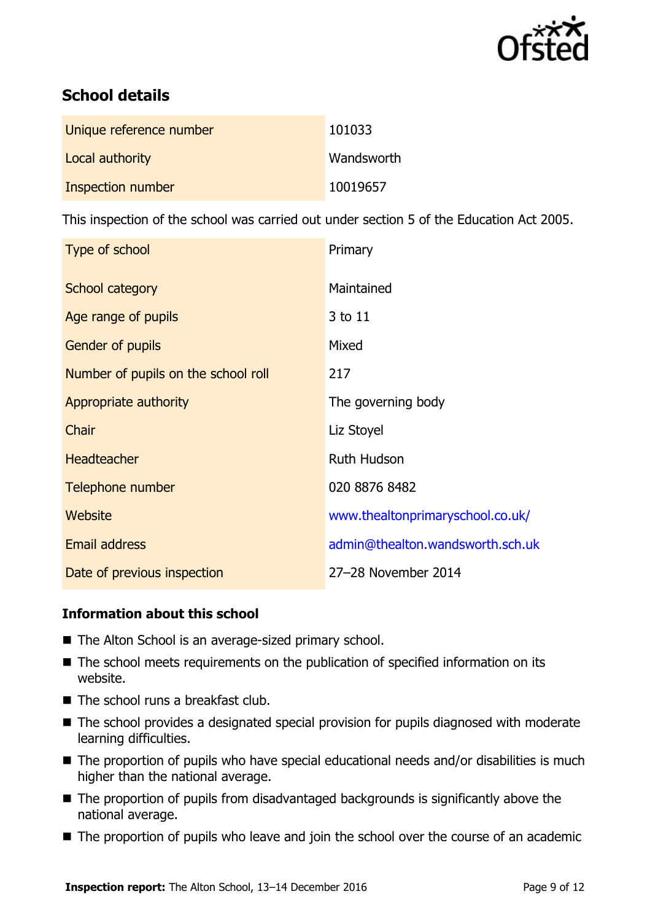

# **School details**

| Unique reference number | 101033     |
|-------------------------|------------|
| Local authority         | Wandsworth |
| Inspection number       | 10019657   |

This inspection of the school was carried out under section 5 of the Education Act 2005.

| Type of school                      | Primary                          |
|-------------------------------------|----------------------------------|
| School category                     | Maintained                       |
| Age range of pupils                 | 3 to 11                          |
| Gender of pupils                    | Mixed                            |
| Number of pupils on the school roll | 217                              |
| Appropriate authority               | The governing body               |
| Chair                               | Liz Stoyel                       |
| <b>Headteacher</b>                  | <b>Ruth Hudson</b>               |
| Telephone number                    | 020 8876 8482                    |
| Website                             | www.thealtonprimaryschool.co.uk/ |
| <b>Email address</b>                | admin@thealton.wandsworth.sch.uk |
| Date of previous inspection         | 27-28 November 2014              |

#### **Information about this school**

- The Alton School is an average-sized primary school.
- The school meets requirements on the publication of specified information on its website.
- The school runs a breakfast club.
- The school provides a designated special provision for pupils diagnosed with moderate learning difficulties.
- The proportion of pupils who have special educational needs and/or disabilities is much higher than the national average.
- The proportion of pupils from disadvantaged backgrounds is significantly above the national average.
- The proportion of pupils who leave and join the school over the course of an academic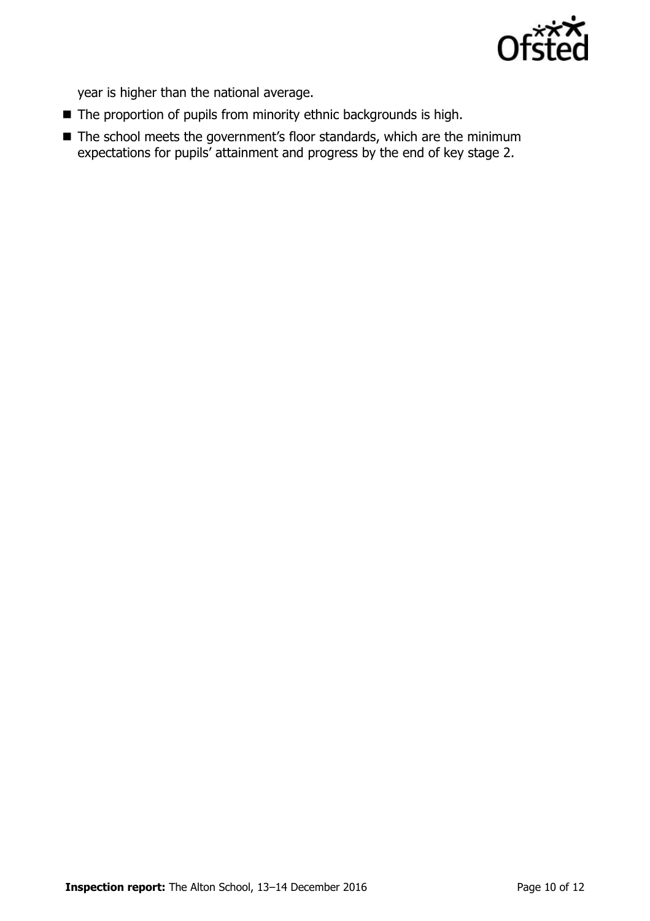

year is higher than the national average.

- The proportion of pupils from minority ethnic backgrounds is high.
- The school meets the government's floor standards, which are the minimum expectations for pupils' attainment and progress by the end of key stage 2.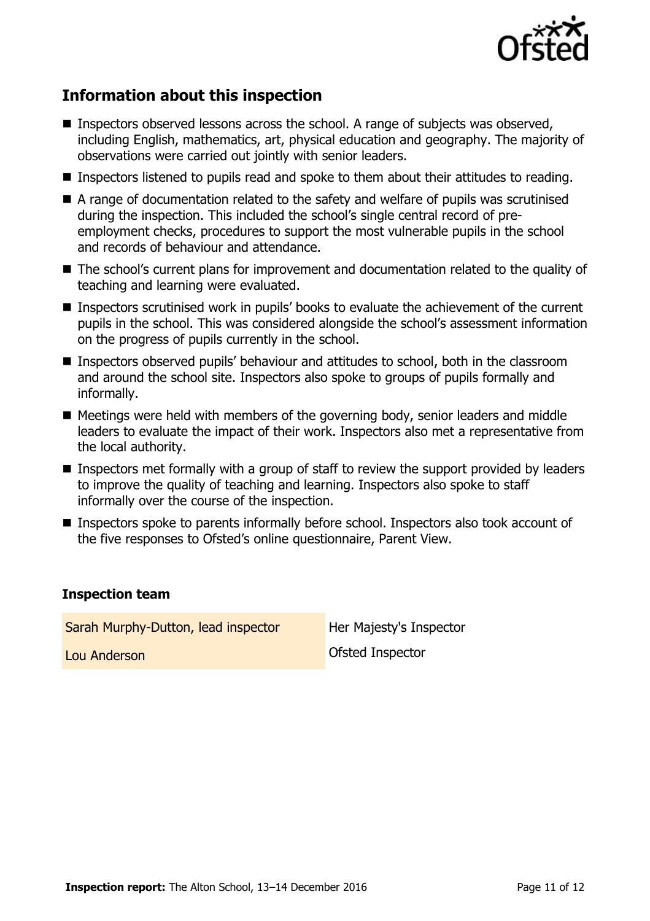

# **Information about this inspection**

- Inspectors observed lessons across the school. A range of subjects was observed, including English, mathematics, art, physical education and geography. The majority of observations were carried out jointly with senior leaders.
- Inspectors listened to pupils read and spoke to them about their attitudes to reading.
- A range of documentation related to the safety and welfare of pupils was scrutinised during the inspection. This included the school's single central record of preemployment checks, procedures to support the most vulnerable pupils in the school and records of behaviour and attendance.
- The school's current plans for improvement and documentation related to the quality of teaching and learning were evaluated.
- Inspectors scrutinised work in pupils' books to evaluate the achievement of the current pupils in the school. This was considered alongside the school's assessment information on the progress of pupils currently in the school.
- Inspectors observed pupils' behaviour and attitudes to school, both in the classroom and around the school site. Inspectors also spoke to groups of pupils formally and informally.
- $\blacksquare$  Meetings were held with members of the governing body, senior leaders and middle leaders to evaluate the impact of their work. Inspectors also met a representative from the local authority.
- Inspectors met formally with a group of staff to review the support provided by leaders to improve the quality of teaching and learning. Inspectors also spoke to staff informally over the course of the inspection.
- Inspectors spoke to parents informally before school. Inspectors also took account of the five responses to Ofsted's online questionnaire, Parent View.

#### **Inspection team**

| Sarah Murphy-Dutton, lead inspector | Her Majesty's Inspector |
|-------------------------------------|-------------------------|
| Lou Anderson                        | Ofsted Inspector        |